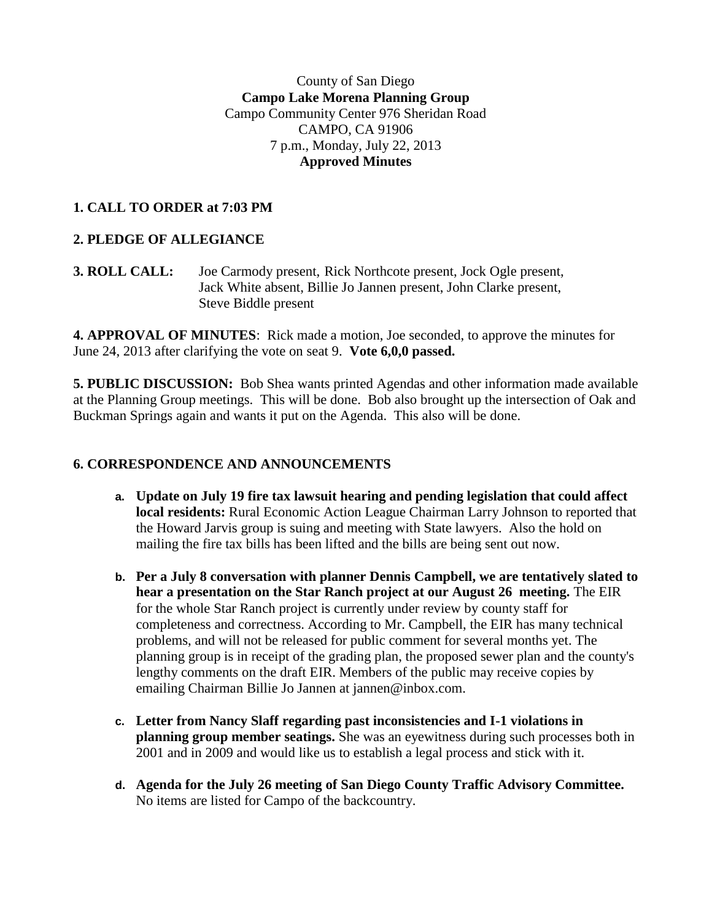# County of San Diego **Campo Lake Morena Planning Group** Campo Community Center 976 Sheridan Road CAMPO, CA 91906 7 p.m., Monday, July 22, 2013 **Approved Minutes**

# **1. CALL TO ORDER at 7:03 PM**

# **2. PLEDGE OF ALLEGIANCE**

**3. ROLL CALL:** Joe Carmody present, Rick Northcote present, Jock Ogle present, Jack White absent, Billie Jo Jannen present, John Clarke present, Steve Biddle present

**4. APPROVAL OF MINUTES**: Rick made a motion, Joe seconded, to approve the minutes for June 24, 2013 after clarifying the vote on seat 9. **Vote 6,0,0 passed.**

**5. PUBLIC DISCUSSION:** Bob Shea wants printed Agendas and other information made available at the Planning Group meetings. This will be done. Bob also brought up the intersection of Oak and Buckman Springs again and wants it put on the Agenda. This also will be done.

# **6. CORRESPONDENCE AND ANNOUNCEMENTS**

- **a. Update on July 19 fire tax lawsuit hearing and pending legislation that could affect local residents:** Rural Economic Action League Chairman Larry Johnson to reported that the Howard Jarvis group is suing and meeting with State lawyers. Also the hold on mailing the fire tax bills has been lifted and the bills are being sent out now.
- **b. Per a July 8 conversation with planner Dennis Campbell, we are tentatively slated to hear a presentation on the Star Ranch project at our August 26 meeting.** The EIR for the whole Star Ranch project is currently under review by county staff for completeness and correctness. According to Mr. Campbell, the EIR has many technical problems, and will not be released for public comment for several months yet. The planning group is in receipt of the grading plan, the proposed sewer plan and the county's lengthy comments on the draft EIR. Members of the public may receive copies by emailing Chairman Billie Jo Jannen at jannen@inbox.com.
- **c. Letter from Nancy Slaff regarding past inconsistencies and I-1 violations in planning group member seatings.** She was an eyewitness during such processes both in 2001 and in 2009 and would like us to establish a legal process and stick with it.
- **d. Agenda for the July 26 meeting of San Diego County Traffic Advisory Committee.** No items are listed for Campo of the backcountry.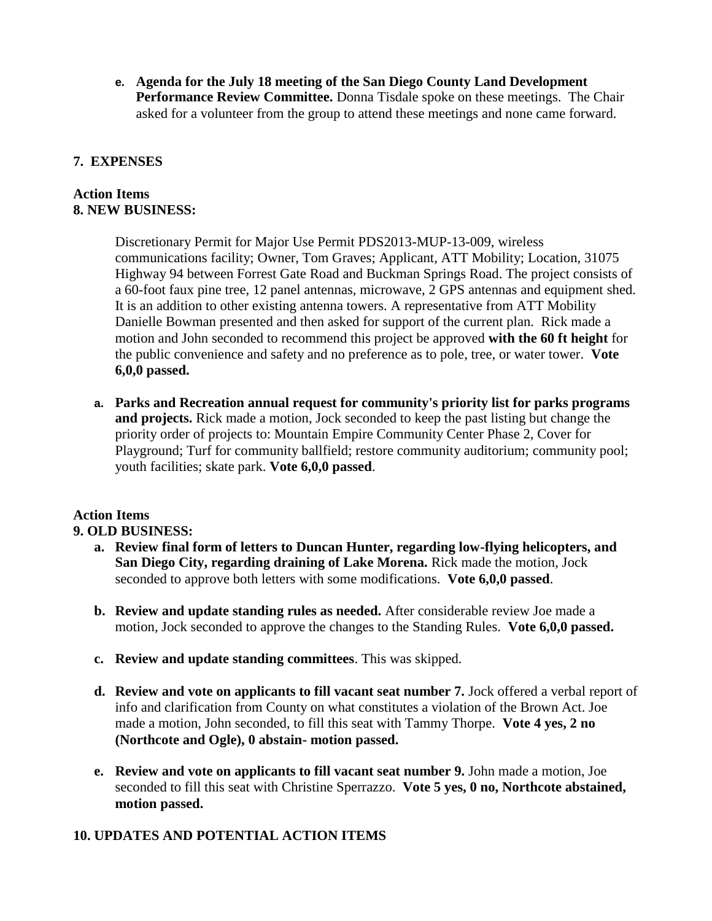**e. Agenda for the July 18 meeting of the San Diego County Land Development Performance Review Committee.** Donna Tisdale spoke on these meetings. The Chair asked for a volunteer from the group to attend these meetings and none came forward.

## **7. EXPENSES**

#### **Action Items 8. NEW BUSINESS:**

Discretionary Permit for Major Use Permit PDS2013-MUP-13-009, wireless communications facility; Owner, Tom Graves; Applicant, ATT Mobility; Location, 31075 Highway 94 between Forrest Gate Road and Buckman Springs Road. The project consists of a 60-foot faux pine tree, 12 panel antennas, microwave, 2 GPS antennas and equipment shed. It is an addition to other existing antenna towers. A representative from ATT Mobility Danielle Bowman presented and then asked for support of the current plan. Rick made a motion and John seconded to recommend this project be approved **with the 60 ft height** for the public convenience and safety and no preference as to pole, tree, or water tower. **Vote 6,0,0 passed.**

**a. Parks and Recreation annual request for community's priority list for parks programs and projects.** Rick made a motion, Jock seconded to keep the past listing but change the priority order of projects to: Mountain Empire Community Center Phase 2, Cover for Playground; Turf for community ballfield; restore community auditorium; community pool; youth facilities; skate park. **Vote 6,0,0 passed**.

# **Action Items**

# **9. OLD BUSINESS:**

- **a. Review final form of letters to Duncan Hunter, regarding low-flying helicopters, and San Diego City, regarding draining of Lake Morena.** Rick made the motion, Jock seconded to approve both letters with some modifications. **Vote 6,0,0 passed**.
- **b. Review and update standing rules as needed.** After considerable review Joe made a motion, Jock seconded to approve the changes to the Standing Rules. **Vote 6,0,0 passed.**
- **c. Review and update standing committees**. This was skipped.
- **d. Review and vote on applicants to fill vacant seat number 7.** Jock offered a verbal report of info and clarification from County on what constitutes a violation of the Brown Act. Joe made a motion, John seconded, to fill this seat with Tammy Thorpe. **Vote 4 yes, 2 no (Northcote and Ogle), 0 abstain- motion passed.**
- **e. Review and vote on applicants to fill vacant seat number 9.** John made a motion, Joe seconded to fill this seat with Christine Sperrazzo. **Vote 5 yes, 0 no, Northcote abstained, motion passed.**

# **10. UPDATES AND POTENTIAL ACTION ITEMS**